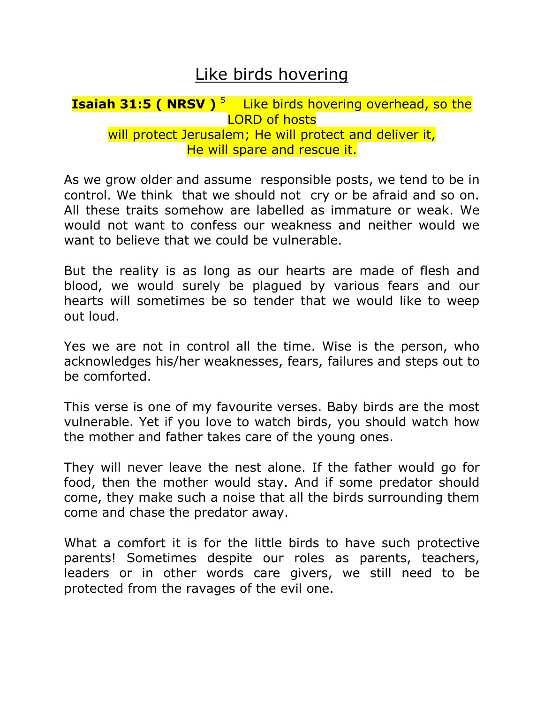## Like birds hovering

## **Isaiah 31:5 ( NRSV )**<sup>5</sup> Like birds hovering overhead, so the LORD of hosts will protect Jerusalem; He will protect and deliver it, He will spare and rescue it.

As we grow older and assume responsible posts, we tend to be in control. We think that we should not cry or be afraid and so on. All these traits somehow are labelled as immature or weak. We would not want to confess our weakness and neither would we want to believe that we could be vulnerable.

But the reality is as long as our hearts are made of flesh and blood, we would surely be plagued by various fears and our hearts will sometimes be so tender that we would like to weep out loud.

Yes we are not in control all the time. Wise is the person, who acknowledges his/her weaknesses, fears, failures and steps out to be comforted.

This verse is one of my favourite verses. Baby birds are the most vulnerable. Yet if you love to watch birds, you should watch how the mother and father takes care of the young ones.

They will never leave the nest alone. If the father would go for food, then the mother would stay. And if some predator should come, they make such a noise that all the birds surrounding them come and chase the predator away.

What a comfort it is for the little birds to have such protective parents! Sometimes despite our roles as parents, teachers, leaders or in other words care givers, we still need to be protected from the ravages of the evil one.